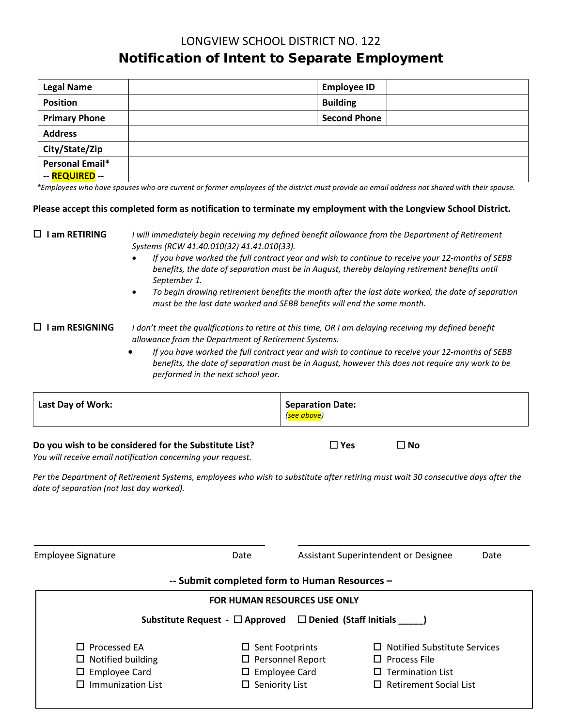# LONGVIEW SCHOOL DISTRICT NO. 122 Notification of Intent to Separate Employment

| <b>Legal Name</b>    | <b>Employee ID</b>  |
|----------------------|---------------------|
| <b>Position</b>      | <b>Building</b>     |
| <b>Primary Phone</b> | <b>Second Phone</b> |
| <b>Address</b>       |                     |
| City/State/Zip       |                     |
| Personal Email*      |                     |
| -- REQUIRED --       |                     |

 *\*Employees who have spouses who are current or former employees of the district must provide an email address not shared with their spouse.*

#### **Please accept this completed form as notification to terminate my employment with the Longview School District.**

### **I am RETIRING** *I will immediately begin receiving my defined benefit allowance from the Department of Retirement Systems (RCW 41.40.010(32) 41.41.010(33).*

- *If you have worked the full contract year and wish to continue to receive your 12-months of SEBB benefits, the date of separation must be in August, thereby delaying retirement benefits until September 1.*
- *To begin drawing retirement benefits the month after the last date worked, the date of separation must be the last date worked and SEBB benefits will end the same month.*

#### **I am RESIGNING** *I don't meet the qualifications to retire at this time, OR I am delaying receiving my defined benefit allowance from the Department of Retirement Systems.*

• *If you have worked the full contract year and wish to continue to receive your 12-months of SEBB benefits, the date of separation must be in August, however this does not require any work to be performed in the next school year.*

|  | Last Day of Work: | <b>Separation Date:</b><br>(see above) |
|--|-------------------|----------------------------------------|
|--|-------------------|----------------------------------------|

#### **Do you wish to be considered for the Substitute List? Yes No**

*You will receive email notification concerning your request.*

*Per the Department of Retirement Systems, employees who wish to substitute after retiring must wait 30 consecutive days after the date of separation (not last day worked).*

Employee Signature **Conservation Clube Assistant Superintendent or Designee** Date

### **-- Submit completed form to Human Resources –**

| <b>FOR HUMAN RESOURCES USE ONLY</b>                                         |                                     |  |  |  |  |  |
|-----------------------------------------------------------------------------|-------------------------------------|--|--|--|--|--|
| Substitute Request - $\Box$ Approved $\Box$ Denied (Staff Initials $\Box$ ) |                                     |  |  |  |  |  |
| $\Box$ Sent Footprints                                                      | $\Box$ Notified Substitute Services |  |  |  |  |  |
| $\Box$ Personnel Report                                                     | $\Box$ Process File                 |  |  |  |  |  |
| <b>Employee Card</b><br>ш.                                                  | $\Box$ Termination List             |  |  |  |  |  |
| $\Box$ Seniority List                                                       | $\Box$ Retirement Social List       |  |  |  |  |  |
|                                                                             |                                     |  |  |  |  |  |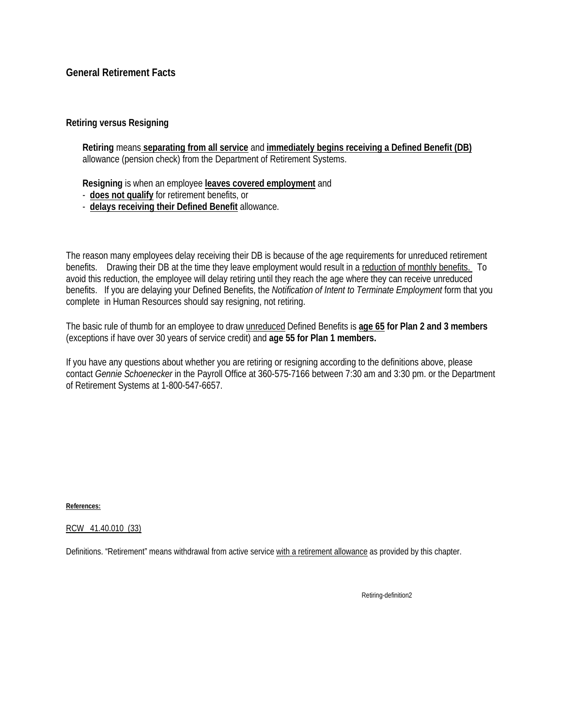# **General Retirement Facts**

## **Retiring versus Resigning**

**Retiring** means **separating from all service** and **immediately begins receiving a Defined Benefit (DB)** allowance (pension check) from the Department of Retirement Systems.

**Resigning** is when an employee **leaves covered employment** and

- **does not qualify** for retirement benefits, or
- **delays receiving their Defined Benefit** allowance.

The reason many employees delay receiving their DB is because of the age requirements for unreduced retirement benefits. Drawing their DB at the time they leave employment would result in a reduction of monthly benefits. To avoid this reduction, the employee will delay retiring until they reach the age where they can receive unreduced benefits. If you are delaying your Defined Benefits, the *Notification of Intent to Terminate Employment* form that you complete in Human Resources should say resigning, not retiring.

The basic rule of thumb for an employee to draw unreduced Defined Benefits is **age 65 for Plan 2 and 3 members** (exceptions if have over 30 years of service credit) and **age 55 for Plan 1 members.**

If you have any questions about whether you are retiring or resigning according to the definitions above, please contact *Gennie Schoenecker* in the Payroll Office at 360-575-7166 between 7:30 am and 3:30 pm. or the Department of Retirement Systems at 1-800-547-6657.

**References:** 

RCW 41.40.010 (33)

Definitions. "Retirement" means withdrawal from active service with a retirement allowance as provided by this chapter.

Retiring-definition2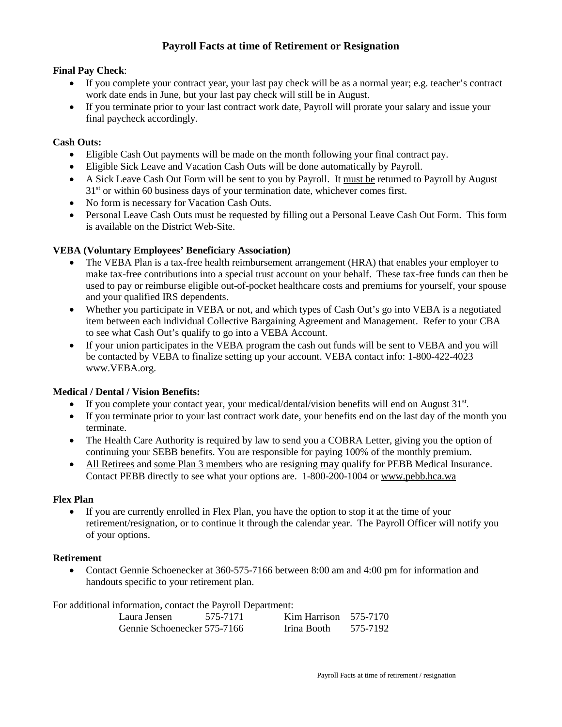# **Payroll Facts at time of Retirement or Resignation**

## **Final Pay Check**:

- If you complete your contract year, your last pay check will be as a normal year; e.g. teacher's contract work date ends in June, but your last pay check will still be in August.
- If you terminate prior to your last contract work date, Payroll will prorate your salary and issue your final paycheck accordingly.

### **Cash Outs:**

- Eligible Cash Out payments will be made on the month following your final contract pay.
- Eligible Sick Leave and Vacation Cash Outs will be done automatically by Payroll.
- A Sick Leave Cash Out Form will be sent to you by Payroll. It must be returned to Payroll by August  $31<sup>st</sup>$  or within 60 business days of your termination date, whichever comes first.
- No form is necessary for Vacation Cash Outs.
- Personal Leave Cash Outs must be requested by filling out a Personal Leave Cash Out Form. This form is available on the District Web-Site.

### **VEBA (Voluntary Employees' Beneficiary Association)**

- The VEBA Plan is a tax-free health reimbursement arrangement (HRA) that enables your employer to make tax-free contributions into a special trust account on your behalf. These tax-free funds can then be used to pay or reimburse eligible out-of-pocket healthcare costs and premiums for yourself, your spouse and your qualified IRS dependents.
- Whether you participate in VEBA or not, and which types of Cash Out's go into VEBA is a negotiated item between each individual Collective Bargaining Agreement and Management. Refer to your CBA to see what Cash Out's qualify to go into a VEBA Account.
- If your union participates in the VEBA program the cash out funds will be sent to VEBA and you will be contacted by VEBA to finalize setting up your account. VEBA contact info: 1-800-422-4023 www.VEBA.org.

## **Medical / Dental / Vision Benefits:**

- If you complete your contact year, your medical/dental/vision benefits will end on August  $31<sup>st</sup>$ .
- If you terminate prior to your last contract work date, your benefits end on the last day of the month you terminate.
- The Health Care Authority is required by law to send you a COBRA Letter, giving you the option of continuing your SEBB benefits. You are responsible for paying 100% of the monthly premium.
- All Retirees and some Plan 3 members who are resigning may qualify for PEBB Medical Insurance. Contact PEBB directly to see what your options are. 1-800-200-1004 or [www.pebb.hca.wa](http://www.pebb.hca.wa/)

### **Flex Plan**

• If you are currently enrolled in Flex Plan, you have the option to stop it at the time of your retirement/resignation, or to continue it through the calendar year. The Payroll Officer will notify you of your options.

### **Retirement**

• Contact Gennie Schoenecker at 360-575-7166 between 8:00 am and 4:00 pm for information and handouts specific to your retirement plan.

For additional information, contact the Payroll Department:

| Laura Jensen                | 575-7171 | $Kim Harrison$ 575-7170 |          |
|-----------------------------|----------|-------------------------|----------|
| Gennie Schoenecker 575-7166 |          | Irina Booth             | 575-7192 |